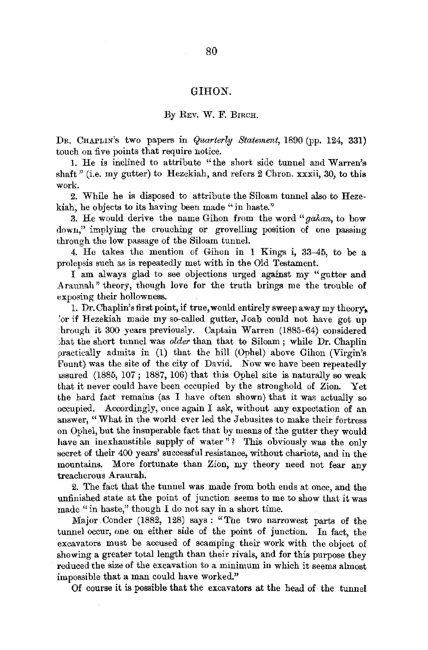## GIRON.

## By REV. w. F. BIRCH.

DR. CHAPLIN's two papers in *Quarterly Statement*, 1890 (pp. 124, 331) touch on five points that require notice.

1. He is inclined to attribute "the short side ttmnel and Warren's shaft" (i.e. my gutter) to Hezekiah, and refers 2 Chron. xxxii, 30, to this work.

2. While he is disposed to attribute the Siloam tunnel also to Hezekiah, he objects to its having been made "in haste."

3. He would derive the name Gihon from the word *"gahan,* to bow down," implying the crouching or grovelling position of one passiug through the low passage of the Siloam tunnel.

4. He takes the mention of Gihon in 1 Kings i, 33-45, to be a prolepsis such as is repeatedly met with in the Old Testament.

I am always glad to see objections urged against my "gutter and Araunah" theory, though love for the truth brings me the trouble of exposing their hollowness.

1. Dr. Chaplin's first point, if true, would entirely sweep away my theory. 'or if Hezekiah made my so-called gutter, Joab could not have got up :hrongh it 300 years previously. Captain Warren (1885-64) considered ;hat the short tunnel was *older* than that to Siloam ; while Dr. Chaplin practically admits in (1) that the hill (Ophel) above Gihon (Virgin's Fount) was the site of the city of David. Now we have been repeatedly 1ssured (1885, 107; 1887, 106) that this Ophel site is naturally so weak that it never could have been occupied by the stronghold of Zion. Yet the hard fact remains (as I have often shown) that it was actually so occupied. Accordingly, once again I ask, without any expectation of an answer, "What in the world ever led the Jebusites to make their fortress on Ophel, but the insuperable fact that by means of the gutter they would have an inexhaustible supply of water"? This obviously was the only secret of their 400 years' successful resistance, without chariots, and in the mountains. More fortunate than Zion, my theory need not fear any treacherous Araurah.

2. The fact that the tunnel was made from both ends at once, and the unfinished state at the point of junction seems to me to show that it was made "in haste," though I do not say in a short time.

Major Conder (1882, 128) says: "The two narrowest parts of the tunnel occur, one on either side of the point of junction. In fact, the excavators must be accused of scamping their work with the object of showing a greater total length than their rivals, and for this purpose they reduced the size of the excavation to a minimum in which it seems almost impossible that a man could have worked."

Of course it is possible that the excavators at the head of the tunnel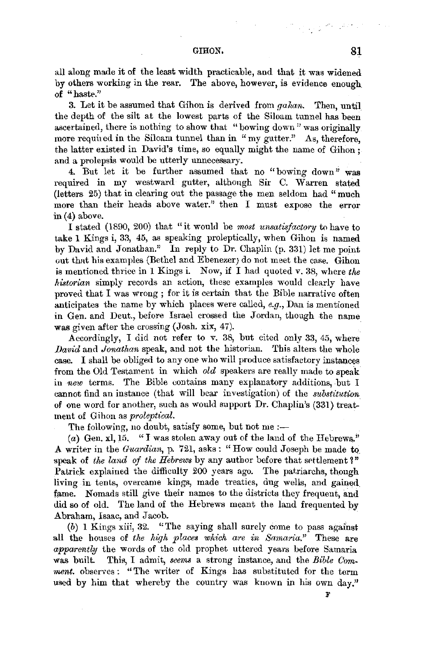## GIRON, **81**

all along made it of the least width practicable, and that it was widened by others working in the rear. The above, however, is evidence enough. of "haste."

3. Let it be assumed that Gihon is derived from *gahan*. Then, until the depth of the silt at the lowest parts of the Siloam tunnel has been ascertained, there is nothing to show that "bowing down" was originally more required in the Siloam tunnel than in "my gutter." As, therefore, the latter existed in David's time, so equally might the name of Gihon ; and a prolepsis would be utterly unnecessary.

4. But let it be further assumed that no "bowing down" was required in my westward gutter, although Sir C. Warren stated (letters 25) that in clearing out the passage the men seldom had "much more than their heads above water." then I must expose the error in (4) above.

I stated (1890, 200) that "it would be *most unsatisfactory* to have to take 1 Kings i, 33, 45, as speaking proleptically, when Gihon is named by David and Jonathan." In reply to Dr. Chaplin (p. 331) let me point out that his examples (Bethel and Ebenezer) do not meet the case. Gihon is mentioned thrice in 1 Kings i. Now, if I had quoted v. 38, where *the historian* simply records an action, these examples would clearly have proved that I was wrong; for it is certain that the Bible narrative often anticipates the name by which places were called, *e.g.*, Dan is mentioned in Gen. and Deut., before Israel crossed the Jordan, though the name was given after the crossing (Josh. xix, 47).

Accordingly, I did not refer to v. 38, but cited only 33, 45, where *David* and *Jonathan* speak, and not the historian. This alters the whole case. I shall be obliged to any one who will produce satisfactory instances from the Old Testament in which *old* speakers are really made to speak in *new* terms. The Bible contains many explanatory additions, but I cannot find an instance (that will bear investigation) of the *substitution*  of one word for another, such as would support Dr. Chaplin's (331) treatment of Gihon as *proleptical.* 

The following, no doubt, satisfy some, but not me  $:=$ 

(a) Gen. xl, 15. "I was stolen away out of the land of the Hebrews." A writer in the *Guardian,* p. 721, asks: "How could Joseph be made tQ speak of *the land of the Hebrews* by any author before that settlement?" Patrick explained the difficulty 200 years ago. The patriarchs, though living in tents, overcame kings, made treaties, dug wells, and gained fame. Nomads still give their names to the districts they frequent, and did so of old. The land of the Hebrews meant the land frequented by Abraham, Isaac, and Jacob.

*(b)* 1 Kings xiii, 32. "The saying shall surely come to pass against all the houses of *the high places which are in Samaria."* These are *apparently* the words of the old prophet uttered years before Samaria was built. This, I admit, *seems* a strong instance, and the *Bible Comment.* observes: "The writer of Kings bas substituted for the term used by him that whereby the country was known in his own day."